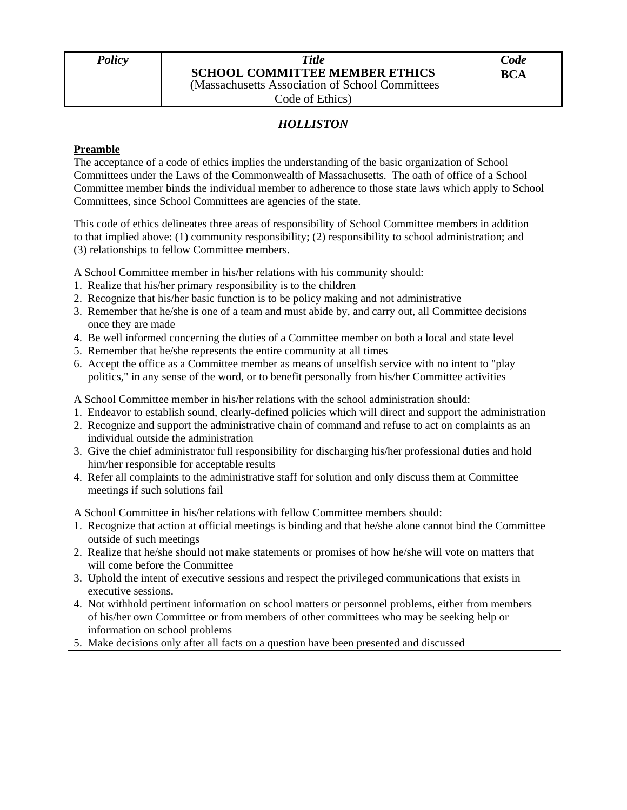## *Policy Title*  **SCHOOL COMMITTEE MEMBER ETHICS**

*Code* 

(Massachusetts Association of School Committees

Code of Ethics)

## *HOLLISTON*

## **Preamble**

The acceptance of a code of ethics implies the understanding of the basic organization of School Committees under the Laws of the Commonwealth of Massachusetts. The oath of office of a School Committee member binds the individual member to adherence to those state laws which apply to School Committees, since School Committees are agencies of the state.

This code of ethics delineates three areas of responsibility of School Committee members in addition to that implied above: (1) community responsibility; (2) responsibility to school administration; and (3) relationships to fellow Committee members.

A School Committee member in his/her relations with his community should:

- 1. Realize that his/her primary responsibility is to the children
- 2. Recognize that his/her basic function is to be policy making and not administrative
- 3. Remember that he/she is one of a team and must abide by, and carry out, all Committee decisions once they are made
- 4. Be well informed concerning the duties of a Committee member on both a local and state level
- 5. Remember that he/she represents the entire community at all times
- 6. Accept the office as a Committee member as means of unselfish service with no intent to "play politics," in any sense of the word, or to benefit personally from his/her Committee activities
- A School Committee member in his/her relations with the school administration should:
- 1. Endeavor to establish sound, clearly-defined policies which will direct and support the administration
- 2. Recognize and support the administrative chain of command and refuse to act on complaints as an individual outside the administration
- 3. Give the chief administrator full responsibility for discharging his/her professional duties and hold him/her responsible for acceptable results
- 4. Refer all complaints to the administrative staff for solution and only discuss them at Committee meetings if such solutions fail

A School Committee in his/her relations with fellow Committee members should:

- 1. Recognize that action at official meetings is binding and that he/she alone cannot bind the Committee outside of such meetings
- 2. Realize that he/she should not make statements or promises of how he/she will vote on matters that will come before the Committee
- 3. Uphold the intent of executive sessions and respect the privileged communications that exists in executive sessions.
- 4. Not withhold pertinent information on school matters or personnel problems, either from members of his/her own Committee or from members of other committees who may be seeking help or information on school problems
- 5. Make decisions only after all facts on a question have been presented and discussed